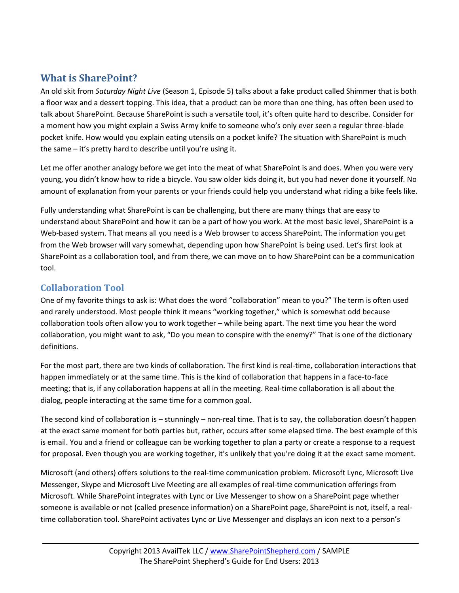# **What is SharePoint?**

An old skit from *Saturday Night Live* (Season 1, Episode 5) talks about a fake product called Shimmer that is both a floor wax and a dessert topping. This idea, that a product can be more than one thing, has often been used to talk about SharePoint. Because SharePoint is such a versatile tool, it's often quite hard to describe. Consider for a moment how you might explain a Swiss Army knife to someone who's only ever seen a regular three-blade pocket knife. How would you explain eating utensils on a pocket knife? The situation with SharePoint is much the same – it's pretty hard to describe until you're using it.

Let me offer another analogy before we get into the meat of what SharePoint is and does. When you were very young, you didn't know how to ride a bicycle. You saw older kids doing it, but you had never done it yourself. No amount of explanation from your parents or your friends could help you understand what riding a bike feels like.

Fully understanding what SharePoint is can be challenging, but there are many things that are easy to understand about SharePoint and how it can be a part of how you work. At the most basic level, SharePoint is a Web-based system. That means all you need is a Web browser to access SharePoint. The information you get from the Web browser will vary somewhat, depending upon how SharePoint is being used. Let's first look at SharePoint as a collaboration tool, and from there, we can move on to how SharePoint can be a communication tool.

## **Collaboration Tool**

One of my favorite things to ask is: What does the word "collaboration" mean to you?" The term is often used and rarely understood. Most people think it means "working together," which is somewhat odd because collaboration tools often allow you to work together – while being apart. The next time you hear the word collaboration, you might want to ask, "Do you mean to conspire with the enemy?" That is one of the dictionary definitions.

For the most part, there are two kinds of collaboration. The first kind is real-time, collaboration interactions that happen immediately or at the same time. This is the kind of collaboration that happens in a face-to-face meeting; that is, if any collaboration happens at all in the meeting. Real-time collaboration is all about the dialog, people interacting at the same time for a common goal.

The second kind of collaboration is – stunningly – non-real time. That is to say, the collaboration doesn't happen at the exact same moment for both parties but, rather, occurs after some elapsed time. The best example of this is email. You and a friend or colleague can be working together to plan a party or create a response to a request for proposal. Even though you are working together, it's unlikely that you're doing it at the exact same moment.

Microsoft (and others) offers solutions to the real-time communication problem. Microsoft Lync, Microsoft Live Messenger, Skype and Microsoft Live Meeting are all examples of real-time communication offerings from Microsoft. While SharePoint integrates with Lync or Live Messenger to show on a SharePoint page whether someone is available or not (called presence information) on a SharePoint page, SharePoint is not, itself, a realtime collaboration tool. SharePoint activates Lync or Live Messenger and displays an icon next to a person's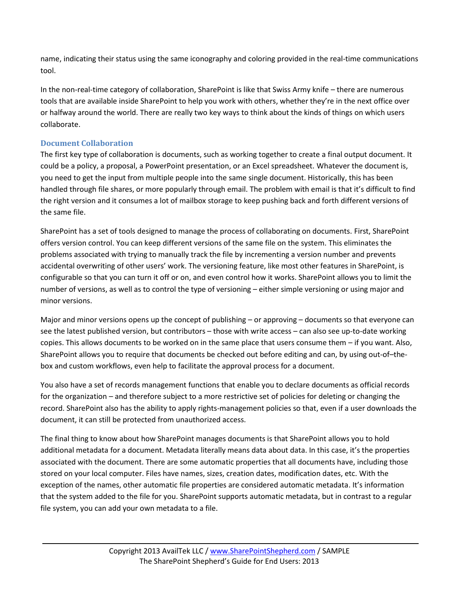name, indicating their status using the same iconography and coloring provided in the real-time communications tool.

In the non-real-time category of collaboration, SharePoint is like that Swiss Army knife – there are numerous tools that are available inside SharePoint to help you work with others, whether they're in the next office over or halfway around the world. There are really two key ways to think about the kinds of things on which users collaborate.

#### **Document Collaboration**

The first key type of collaboration is documents, such as working together to create a final output document. It could be a policy, a proposal, a PowerPoint presentation, or an Excel spreadsheet. Whatever the document is, you need to get the input from multiple people into the same single document. Historically, this has been handled through file shares, or more popularly through email. The problem with email is that it's difficult to find the right version and it consumes a lot of mailbox storage to keep pushing back and forth different versions of the same file.

SharePoint has a set of tools designed to manage the process of collaborating on documents. First, SharePoint offers version control. You can keep different versions of the same file on the system. This eliminates the problems associated with trying to manually track the file by incrementing a version number and prevents accidental overwriting of other users' work. The versioning feature, like most other features in SharePoint, is configurable so that you can turn it off or on, and even control how it works. SharePoint allows you to limit the number of versions, as well as to control the type of versioning – either simple versioning or using major and minor versions.

Major and minor versions opens up the concept of publishing – or approving – documents so that everyone can see the latest published version, but contributors – those with write access – can also see up-to-date working copies. This allows documents to be worked on in the same place that users consume them – if you want. Also, SharePoint allows you to require that documents be checked out before editing and can, by using out-of–thebox and custom workflows, even help to facilitate the approval process for a document.

You also have a set of records management functions that enable you to declare documents as official records for the organization – and therefore subject to a more restrictive set of policies for deleting or changing the record. SharePoint also has the ability to apply rights-management policies so that, even if a user downloads the document, it can still be protected from unauthorized access.

The final thing to know about how SharePoint manages documents is that SharePoint allows you to hold additional metadata for a document. Metadata literally means data about data. In this case, it's the properties associated with the document. There are some automatic properties that all documents have, including those stored on your local computer. Files have names, sizes, creation dates, modification dates, etc. With the exception of the names, other automatic file properties are considered automatic metadata. It's information that the system added to the file for you. SharePoint supports automatic metadata, but in contrast to a regular file system, you can add your own metadata to a file.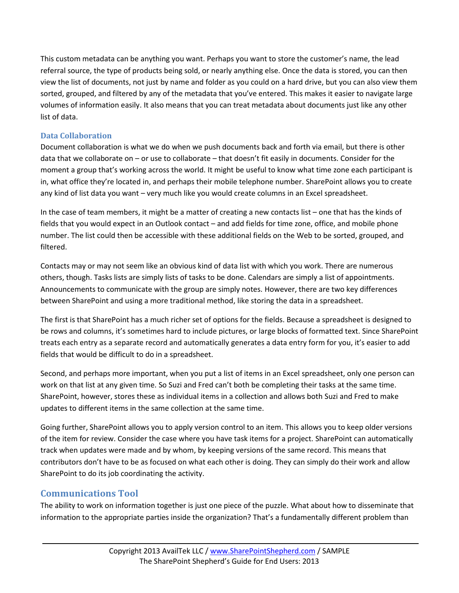This custom metadata can be anything you want. Perhaps you want to store the customer's name, the lead referral source, the type of products being sold, or nearly anything else. Once the data is stored, you can then view the list of documents, not just by name and folder as you could on a hard drive, but you can also view them sorted, grouped, and filtered by any of the metadata that you've entered. This makes it easier to navigate large volumes of information easily. It also means that you can treat metadata about documents just like any other list of data.

### **Data Collaboration**

Document collaboration is what we do when we push documents back and forth via email, but there is other data that we collaborate on – or use to collaborate – that doesn't fit easily in documents. Consider for the moment a group that's working across the world. It might be useful to know what time zone each participant is in, what office they're located in, and perhaps their mobile telephone number. SharePoint allows you to create any kind of list data you want – very much like you would create columns in an Excel spreadsheet.

In the case of team members, it might be a matter of creating a new contacts list – one that has the kinds of fields that you would expect in an Outlook contact – and add fields for time zone, office, and mobile phone number. The list could then be accessible with these additional fields on the Web to be sorted, grouped, and filtered.

Contacts may or may not seem like an obvious kind of data list with which you work. There are numerous others, though. Tasks lists are simply lists of tasks to be done. Calendars are simply a list of appointments. Announcements to communicate with the group are simply notes. However, there are two key differences between SharePoint and using a more traditional method, like storing the data in a spreadsheet.

The first is that SharePoint has a much richer set of options for the fields. Because a spreadsheet is designed to be rows and columns, it's sometimes hard to include pictures, or large blocks of formatted text. Since SharePoint treats each entry as a separate record and automatically generates a data entry form for you, it's easier to add fields that would be difficult to do in a spreadsheet.

Second, and perhaps more important, when you put a list of items in an Excel spreadsheet, only one person can work on that list at any given time. So Suzi and Fred can't both be completing their tasks at the same time. SharePoint, however, stores these as individual items in a collection and allows both Suzi and Fred to make updates to different items in the same collection at the same time.

Going further, SharePoint allows you to apply version control to an item. This allows you to keep older versions of the item for review. Consider the case where you have task items for a project. SharePoint can automatically track when updates were made and by whom, by keeping versions of the same record. This means that contributors don't have to be as focused on what each other is doing. They can simply do their work and allow SharePoint to do its job coordinating the activity.

### **Communications Tool**

The ability to work on information together is just one piece of the puzzle. What about how to disseminate that information to the appropriate parties inside the organization? That's a fundamentally different problem than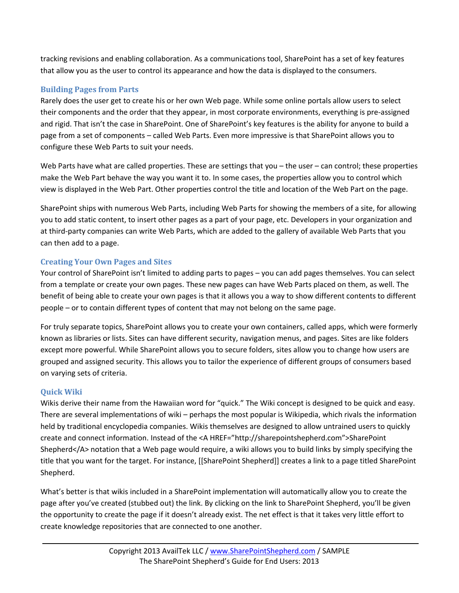tracking revisions and enabling collaboration. As a communications tool, SharePoint has a set of key features that allow you as the user to control its appearance and how the data is displayed to the consumers.

#### **Building Pages from Parts**

Rarely does the user get to create his or her own Web page. While some online portals allow users to select their components and the order that they appear, in most corporate environments, everything is pre-assigned and rigid. That isn't the case in SharePoint. One of SharePoint's key features is the ability for anyone to build a page from a set of components – called Web Parts. Even more impressive is that SharePoint allows you to configure these Web Parts to suit your needs.

Web Parts have what are called properties. These are settings that you – the user – can control; these properties make the Web Part behave the way you want it to. In some cases, the properties allow you to control which view is displayed in the Web Part. Other properties control the title and location of the Web Part on the page.

SharePoint ships with numerous Web Parts, including Web Parts for showing the members of a site, for allowing you to add static content, to insert other pages as a part of your page, etc. Developers in your organization and at third-party companies can write Web Parts, which are added to the gallery of available Web Parts that you can then add to a page.

#### **Creating Your Own Pages and Sites**

Your control of SharePoint isn't limited to adding parts to pages – you can add pages themselves. You can select from a template or create your own pages. These new pages can have Web Parts placed on them, as well. The benefit of being able to create your own pages is that it allows you a way to show different contents to different people – or to contain different types of content that may not belong on the same page.

For truly separate topics, SharePoint allows you to create your own containers, called apps, which were formerly known as libraries or lists. Sites can have different security, navigation menus, and pages. Sites are like folders except more powerful. While SharePoint allows you to secure folders, sites allow you to change how users are grouped and assigned security. This allows you to tailor the experience of different groups of consumers based on varying sets of criteria.

### **Quick Wiki**

Wikis derive their name from the Hawaiian word for "quick." The Wiki concept is designed to be quick and easy. There are several implementations of wiki – perhaps the most popular is Wikipedia, which rivals the information held by traditional encyclopedia companies. Wikis themselves are designed to allow untrained users to quickly create and connect information. Instead of the <A HREF="http://sharepointshepherd.com">SharePoint Shepherd</A> notation that a Web page would require, a wiki allows you to build links by simply specifying the title that you want for the target. For instance, [[SharePoint Shepherd]] creates a link to a page titled SharePoint Shepherd.

What's better is that wikis included in a SharePoint implementation will automatically allow you to create the page after you've created (stubbed out) the link. By clicking on the link to SharePoint Shepherd, you'll be given the opportunity to create the page if it doesn't already exist. The net effect is that it takes very little effort to create knowledge repositories that are connected to one another.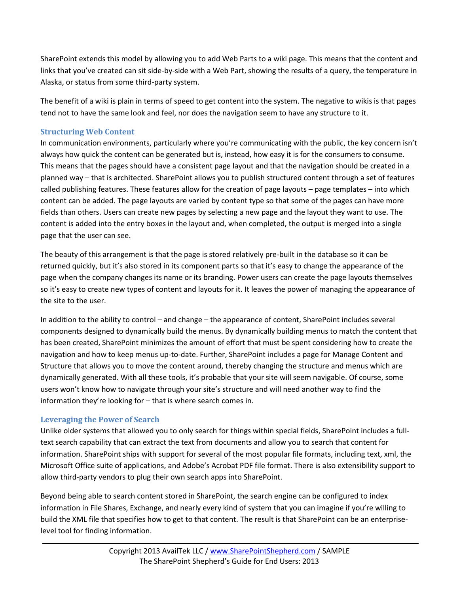SharePoint extends this model by allowing you to add Web Parts to a wiki page. This means that the content and links that you've created can sit side-by-side with a Web Part, showing the results of a query, the temperature in Alaska, or status from some third-party system.

The benefit of a wiki is plain in terms of speed to get content into the system. The negative to wikis is that pages tend not to have the same look and feel, nor does the navigation seem to have any structure to it.

#### **Structuring Web Content**

In communication environments, particularly where you're communicating with the public, the key concern isn't always how quick the content can be generated but is, instead, how easy it is for the consumers to consume. This means that the pages should have a consistent page layout and that the navigation should be created in a planned way – that is architected. SharePoint allows you to publish structured content through a set of features called publishing features. These features allow for the creation of page layouts – page templates – into which content can be added. The page layouts are varied by content type so that some of the pages can have more fields than others. Users can create new pages by selecting a new page and the layout they want to use. The content is added into the entry boxes in the layout and, when completed, the output is merged into a single page that the user can see.

The beauty of this arrangement is that the page is stored relatively pre-built in the database so it can be returned quickly, but it's also stored in its component parts so that it's easy to change the appearance of the page when the company changes its name or its branding. Power users can create the page layouts themselves so it's easy to create new types of content and layouts for it. It leaves the power of managing the appearance of the site to the user.

In addition to the ability to control – and change – the appearance of content, SharePoint includes several components designed to dynamically build the menus. By dynamically building menus to match the content that has been created, SharePoint minimizes the amount of effort that must be spent considering how to create the navigation and how to keep menus up-to-date. Further, SharePoint includes a page for Manage Content and Structure that allows you to move the content around, thereby changing the structure and menus which are dynamically generated. With all these tools, it's probable that your site will seem navigable. Of course, some users won't know how to navigate through your site's structure and will need another way to find the information they're looking for – that is where search comes in.

### **Leveraging the Power of Search**

Unlike older systems that allowed you to only search for things within special fields, SharePoint includes a fulltext search capability that can extract the text from documents and allow you to search that content for information. SharePoint ships with support for several of the most popular file formats, including text, xml, the Microsoft Office suite of applications, and Adobe's Acrobat PDF file format. There is also extensibility support to allow third-party vendors to plug their own search apps into SharePoint.

Beyond being able to search content stored in SharePoint, the search engine can be configured to index information in File Shares, Exchange, and nearly every kind of system that you can imagine if you're willing to build the XML file that specifies how to get to that content. The result is that SharePoint can be an enterpriselevel tool for finding information.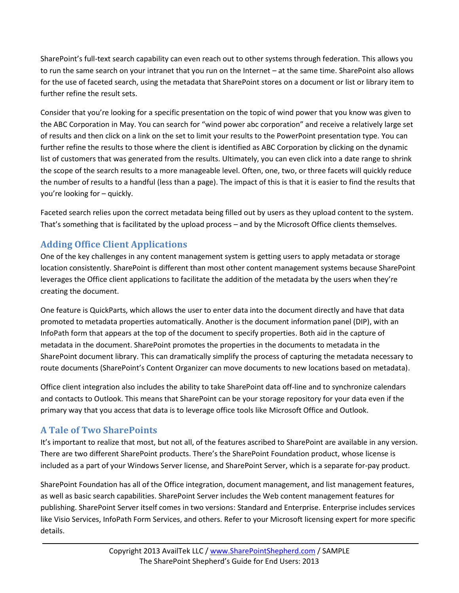SharePoint's full-text search capability can even reach out to other systems through federation. This allows you to run the same search on your intranet that you run on the Internet – at the same time. SharePoint also allows for the use of faceted search, using the metadata that SharePoint stores on a document or list or library item to further refine the result sets.

Consider that you're looking for a specific presentation on the topic of wind power that you know was given to the ABC Corporation in May. You can search for "wind power abc corporation" and receive a relatively large set of results and then click on a link on the set to limit your results to the PowerPoint presentation type. You can further refine the results to those where the client is identified as ABC Corporation by clicking on the dynamic list of customers that was generated from the results. Ultimately, you can even click into a date range to shrink the scope of the search results to a more manageable level. Often, one, two, or three facets will quickly reduce the number of results to a handful (less than a page). The impact of this is that it is easier to find the results that you're looking for – quickly.

Faceted search relies upon the correct metadata being filled out by users as they upload content to the system. That's something that is facilitated by the upload process – and by the Microsoft Office clients themselves.

# **Adding Office Client Applications**

One of the key challenges in any content management system is getting users to apply metadata or storage location consistently. SharePoint is different than most other content management systems because SharePoint leverages the Office client applications to facilitate the addition of the metadata by the users when they're creating the document.

One feature is QuickParts, which allows the user to enter data into the document directly and have that data promoted to metadata properties automatically. Another is the document information panel (DIP), with an InfoPath form that appears at the top of the document to specify properties. Both aid in the capture of metadata in the document. SharePoint promotes the properties in the documents to metadata in the SharePoint document library. This can dramatically simplify the process of capturing the metadata necessary to route documents (SharePoint's Content Organizer can move documents to new locations based on metadata).

Office client integration also includes the ability to take SharePoint data off-line and to synchronize calendars and contacts to Outlook. This means that SharePoint can be your storage repository for your data even if the primary way that you access that data is to leverage office tools like Microsoft Office and Outlook.

## **A Tale of Two SharePoints**

It's important to realize that most, but not all, of the features ascribed to SharePoint are available in any version. There are two different SharePoint products. There's the SharePoint Foundation product, whose license is included as a part of your Windows Server license, and SharePoint Server, which is a separate for-pay product.

SharePoint Foundation has all of the Office integration, document management, and list management features, as well as basic search capabilities. SharePoint Server includes the Web content management features for publishing. SharePoint Server itself comes in two versions: Standard and Enterprise. Enterprise includes services like Visio Services, InfoPath Form Services, and others. Refer to your Microsoft licensing expert for more specific details.